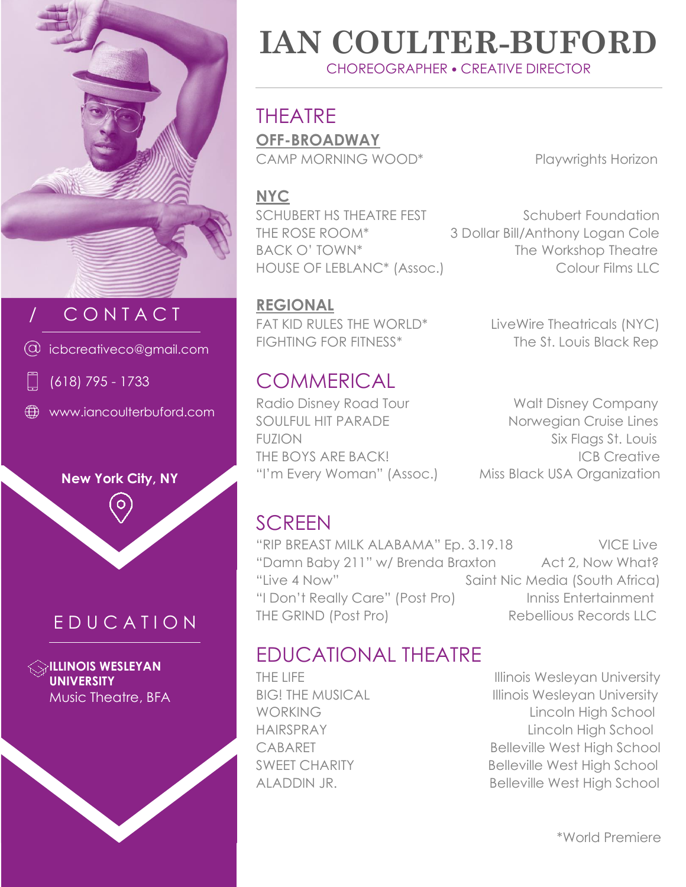

## / C O N T A C T

icbcreativeco@gmail.com



www.iancoulterbuford.com



#### E D U C A T I O N

**ILLINOIS WESLEYAN UNIVERSITY** Music Theatre, BFA

## **IAN COULTER-BUFORD** CHOREOGRAPHER • CREATIVE DIRECTOR

THEATRE **OFF-BROADWAY**

CAMP MORNING WOOD\* Playwrights Horizon

#### **NYC**

SCHUBERT HS THEATRE FEST Schubert Foundation THE ROSE ROOM\* 3 Dollar Bill/Anthony Logan Cole BACK O' TOWN\* The Workshop Theatre HOUSE OF LEBLANC<sup>\*</sup> (Assoc.) Colour Films LLC

**REGIONAL** FAT KID RULES THE WORLD<sup>\*</sup> LiveWire Theatricals (NYC) FIGHTING FOR FITNESS<sup>\*</sup> The St. Louis Black Rep

# **COMMERICAL**

Radio Disney Road Tour Walt Disney Company

SOULFUL HIT PARADE Norwegian Cruise Lines FUZION Six Flags St. Louis THE BOYS ARE BACK! ICB Creative "I'm Every Woman" (Assoc.) Miss Black USA Organization

## **SCREEN**

"RIP BREAST MILK ALABAMA" Ep. 3.19.18 VICE Live "Damn Baby 211" w/ Brenda Braxton Act 2, Now What? "Live 4 Now" Saint Nic Media (South Africa) "I Don't Really Care" (Post Pro) Inniss Entertainment THE GRIND (Post Pro) Rebellious Records LLC

### EDUCATIONAL THEATRE

THE LIFE **Internal Contract Contract Contract Contract Contract Contract Contract Contract Contract Contract Contract Contract Contract Contract Contract Contract Contract Contract Contract Contract Contract Contract Contr** BIG! THE MUSICAL Illinois Wesleyan University WORKING Lincoln High School HAIRSPRAY Lincoln High School CABARET Belleville West High School SWEET CHARITY Belleville West High School ALADDIN JR. Belleville West High School

\*World Premiere